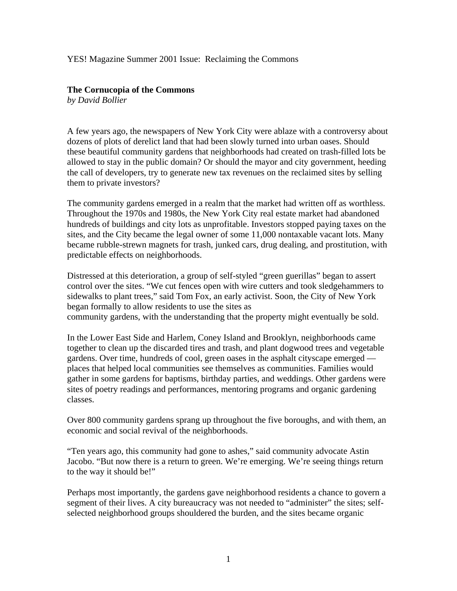### YES! Magazine Summer 2001 Issue: Reclaiming the Commons

# **The Cornucopia of the Commons**

*by David Bollier*

A few years ago, the newspapers of New York City were ablaze with a controversy about dozens of plots of derelict land that had been slowly turned into urban oases. Should these beautiful community gardens that neighborhoods had created on trash-filled lots be allowed to stay in the public domain? Or should the mayor and city government, heeding the call of developers, try to generate new tax revenues on the reclaimed sites by selling them to private investors?

The community gardens emerged in a realm that the market had written off as worthless. Throughout the 1970s and 1980s, the New York City real estate market had abandoned hundreds of buildings and city lots as unprofitable. Investors stopped paying taxes on the sites, and the City became the legal owner of some 11,000 nontaxable vacant lots. Many became rubble-strewn magnets for trash, junked cars, drug dealing, and prostitution, with predictable effects on neighborhoods.

Distressed at this deterioration, a group of self-styled "green guerillas" began to assert control over the sites. "We cut fences open with wire cutters and took sledgehammers to sidewalks to plant trees," said Tom Fox, an early activist. Soon, the City of New York began formally to allow residents to use the sites as community gardens, with the understanding that the property might eventually be sold.

In the Lower East Side and Harlem, Coney Island and Brooklyn, neighborhoods came together to clean up the discarded tires and trash, and plant dogwood trees and vegetable gardens. Over time, hundreds of cool, green oases in the asphalt cityscape emerged places that helped local communities see themselves as communities. Families would gather in some gardens for baptisms, birthday parties, and weddings. Other gardens were sites of poetry readings and performances, mentoring programs and organic gardening classes.

Over 800 community gardens sprang up throughout the five boroughs, and with them, an economic and social revival of the neighborhoods.

"Ten years ago, this community had gone to ashes," said community advocate Astin Jacobo. "But now there is a return to green. We're emerging. We're seeing things return to the way it should be!"

Perhaps most importantly, the gardens gave neighborhood residents a chance to govern a segment of their lives. A city bureaucracy was not needed to "administer" the sites; selfselected neighborhood groups shouldered the burden, and the sites became organic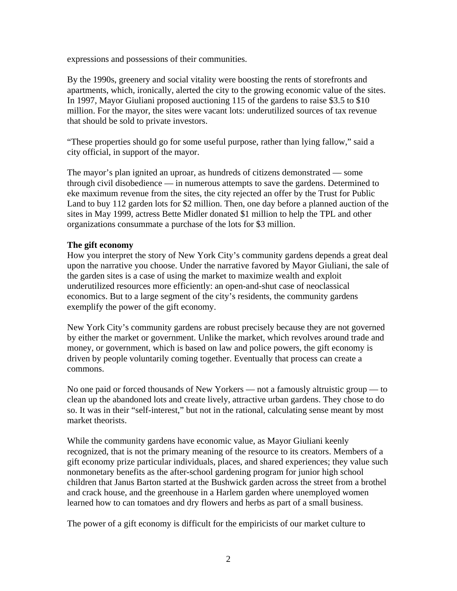expressions and possessions of their communities.

By the 1990s, greenery and social vitality were boosting the rents of storefronts and apartments, which, ironically, alerted the city to the growing economic value of the sites. In 1997, Mayor Giuliani proposed auctioning 115 of the gardens to raise \$3.5 to \$10 million. For the mayor, the sites were vacant lots: underutilized sources of tax revenue that should be sold to private investors.

"These properties should go for some useful purpose, rather than lying fallow," said a city official, in support of the mayor.

The mayor's plan ignited an uproar, as hundreds of citizens demonstrated — some through civil disobedience — in numerous attempts to save the gardens. Determined to eke maximum revenue from the sites, the city rejected an offer by the Trust for Public Land to buy 112 garden lots for \$2 million. Then, one day before a planned auction of the sites in May 1999, actress Bette Midler donated \$1 million to help the TPL and other organizations consummate a purchase of the lots for \$3 million.

## **The gift economy**

How you interpret the story of New York City's community gardens depends a great deal upon the narrative you choose. Under the narrative favored by Mayor Giuliani, the sale of the garden sites is a case of using the market to maximize wealth and exploit underutilized resources more efficiently: an open-and-shut case of neoclassical economics. But to a large segment of the city's residents, the community gardens exemplify the power of the gift economy.

New York City's community gardens are robust precisely because they are not governed by either the market or government. Unlike the market, which revolves around trade and money, or government, which is based on law and police powers, the gift economy is driven by people voluntarily coming together. Eventually that process can create a commons.

No one paid or forced thousands of New Yorkers — not a famously altruistic group — to clean up the abandoned lots and create lively, attractive urban gardens. They chose to do so. It was in their "self-interest," but not in the rational, calculating sense meant by most market theorists.

While the community gardens have economic value, as Mayor Giuliani keenly recognized, that is not the primary meaning of the resource to its creators. Members of a gift economy prize particular individuals, places, and shared experiences; they value such nonmonetary benefits as the after-school gardening program for junior high school children that Janus Barton started at the Bushwick garden across the street from a brothel and crack house, and the greenhouse in a Harlem garden where unemployed women learned how to can tomatoes and dry flowers and herbs as part of a small business.

The power of a gift economy is difficult for the empiricists of our market culture to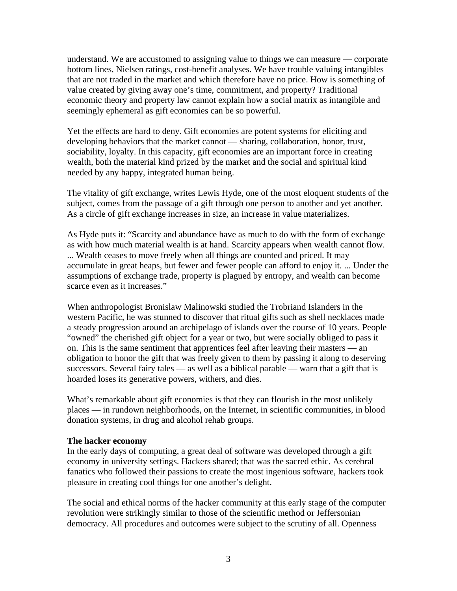understand. We are accustomed to assigning value to things we can measure — corporate bottom lines, Nielsen ratings, cost-benefit analyses. We have trouble valuing intangibles that are not traded in the market and which therefore have no price. How is something of value created by giving away one's time, commitment, and property? Traditional economic theory and property law cannot explain how a social matrix as intangible and seemingly ephemeral as gift economies can be so powerful.

Yet the effects are hard to deny. Gift economies are potent systems for eliciting and developing behaviors that the market cannot — sharing, collaboration, honor, trust, sociability, loyalty. In this capacity, gift economies are an important force in creating wealth, both the material kind prized by the market and the social and spiritual kind needed by any happy, integrated human being.

The vitality of gift exchange, writes Lewis Hyde, one of the most eloquent students of the subject, comes from the passage of a gift through one person to another and yet another. As a circle of gift exchange increases in size, an increase in value materializes.

As Hyde puts it: "Scarcity and abundance have as much to do with the form of exchange as with how much material wealth is at hand. Scarcity appears when wealth cannot flow. ... Wealth ceases to move freely when all things are counted and priced. It may accumulate in great heaps, but fewer and fewer people can afford to enjoy it. ... Under the assumptions of exchange trade, property is plagued by entropy, and wealth can become scarce even as it increases."

When anthropologist Bronislaw Malinowski studied the Trobriand Islanders in the western Pacific, he was stunned to discover that ritual gifts such as shell necklaces made a steady progression around an archipelago of islands over the course of 10 years. People "owned" the cherished gift object for a year or two, but were socially obliged to pass it on. This is the same sentiment that apprentices feel after leaving their masters — an obligation to honor the gift that was freely given to them by passing it along to deserving successors. Several fairy tales — as well as a biblical parable — warn that a gift that is hoarded loses its generative powers, withers, and dies.

What's remarkable about gift economies is that they can flourish in the most unlikely places — in rundown neighborhoods, on the Internet, in scientific communities, in blood donation systems, in drug and alcohol rehab groups.

#### **The hacker economy**

In the early days of computing, a great deal of software was developed through a gift economy in university settings. Hackers shared; that was the sacred ethic. As cerebral fanatics who followed their passions to create the most ingenious software, hackers took pleasure in creating cool things for one another's delight.

The social and ethical norms of the hacker community at this early stage of the computer revolution were strikingly similar to those of the scientific method or Jeffersonian democracy. All procedures and outcomes were subject to the scrutiny of all. Openness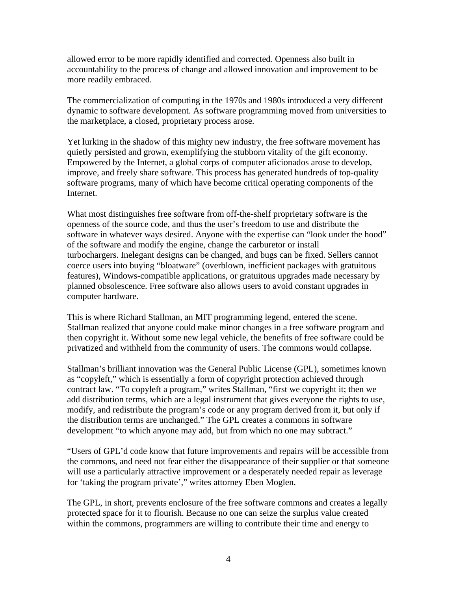allowed error to be more rapidly identified and corrected. Openness also built in accountability to the process of change and allowed innovation and improvement to be more readily embraced.

The commercialization of computing in the 1970s and 1980s introduced a very different dynamic to software development. As software programming moved from universities to the marketplace, a closed, proprietary process arose.

Yet lurking in the shadow of this mighty new industry, the free software movement has quietly persisted and grown, exemplifying the stubborn vitality of the gift economy. Empowered by the Internet, a global corps of computer aficionados arose to develop, improve, and freely share software. This process has generated hundreds of top-quality software programs, many of which have become critical operating components of the Internet.

What most distinguishes free software from off-the-shelf proprietary software is the openness of the source code, and thus the user's freedom to use and distribute the software in whatever ways desired. Anyone with the expertise can "look under the hood" of the software and modify the engine, change the carburetor or install turbochargers. Inelegant designs can be changed, and bugs can be fixed. Sellers cannot coerce users into buying "bloatware" (overblown, inefficient packages with gratuitous features), Windows-compatible applications, or gratuitous upgrades made necessary by planned obsolescence. Free software also allows users to avoid constant upgrades in computer hardware.

This is where Richard Stallman, an MIT programming legend, entered the scene. Stallman realized that anyone could make minor changes in a free software program and then copyright it. Without some new legal vehicle, the benefits of free software could be privatized and withheld from the community of users. The commons would collapse.

Stallman's brilliant innovation was the General Public License (GPL), sometimes known as "copyleft," which is essentially a form of copyright protection achieved through contract law. "To copyleft a program," writes Stallman, "first we copyright it; then we add distribution terms, which are a legal instrument that gives everyone the rights to use, modify, and redistribute the program's code or any program derived from it, but only if the distribution terms are unchanged." The GPL creates a commons in software development "to which anyone may add, but from which no one may subtract."

"Users of GPL'd code know that future improvements and repairs will be accessible from the commons, and need not fear either the disappearance of their supplier or that someone will use a particularly attractive improvement or a desperately needed repair as leverage for 'taking the program private'," writes attorney Eben Moglen.

The GPL, in short, prevents enclosure of the free software commons and creates a legally protected space for it to flourish. Because no one can seize the surplus value created within the commons, programmers are willing to contribute their time and energy to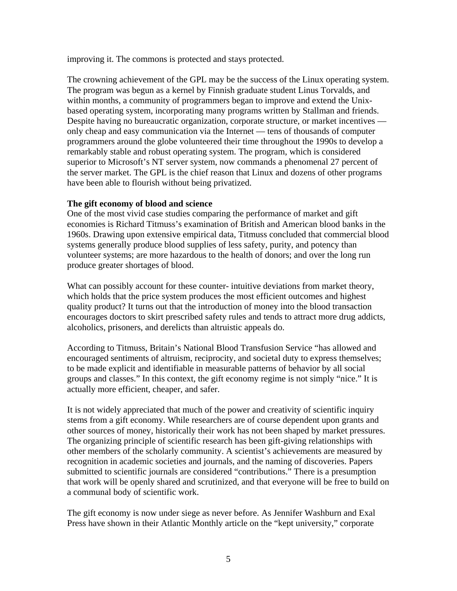improving it. The commons is protected and stays protected.

The crowning achievement of the GPL may be the success of the Linux operating system. The program was begun as a kernel by Finnish graduate student Linus Torvalds, and within months, a community of programmers began to improve and extend the Unixbased operating system, incorporating many programs written by Stallman and friends. Despite having no bureaucratic organization, corporate structure, or market incentives only cheap and easy communication via the Internet — tens of thousands of computer programmers around the globe volunteered their time throughout the 1990s to develop a remarkably stable and robust operating system. The program, which is considered superior to Microsoft's NT server system, now commands a phenomenal 27 percent of the server market. The GPL is the chief reason that Linux and dozens of other programs have been able to flourish without being privatized.

## **The gift economy of blood and science**

One of the most vivid case studies comparing the performance of market and gift economies is Richard Titmuss's examination of British and American blood banks in the 1960s. Drawing upon extensive empirical data, Titmuss concluded that commercial blood systems generally produce blood supplies of less safety, purity, and potency than volunteer systems; are more hazardous to the health of donors; and over the long run produce greater shortages of blood.

What can possibly account for these counter- intuitive deviations from market theory, which holds that the price system produces the most efficient outcomes and highest quality product? It turns out that the introduction of money into the blood transaction encourages doctors to skirt prescribed safety rules and tends to attract more drug addicts, alcoholics, prisoners, and derelicts than altruistic appeals do.

According to Titmuss, Britain's National Blood Transfusion Service "has allowed and encouraged sentiments of altruism, reciprocity, and societal duty to express themselves; to be made explicit and identifiable in measurable patterns of behavior by all social groups and classes." In this context, the gift economy regime is not simply "nice." It is actually more efficient, cheaper, and safer.

It is not widely appreciated that much of the power and creativity of scientific inquiry stems from a gift economy. While researchers are of course dependent upon grants and other sources of money, historically their work has not been shaped by market pressures. The organizing principle of scientific research has been gift-giving relationships with other members of the scholarly community. A scientist's achievements are measured by recognition in academic societies and journals, and the naming of discoveries. Papers submitted to scientific journals are considered "contributions." There is a presumption that work will be openly shared and scrutinized, and that everyone will be free to build on a communal body of scientific work.

The gift economy is now under siege as never before. As Jennifer Washburn and Exal Press have shown in their Atlantic Monthly article on the "kept university," corporate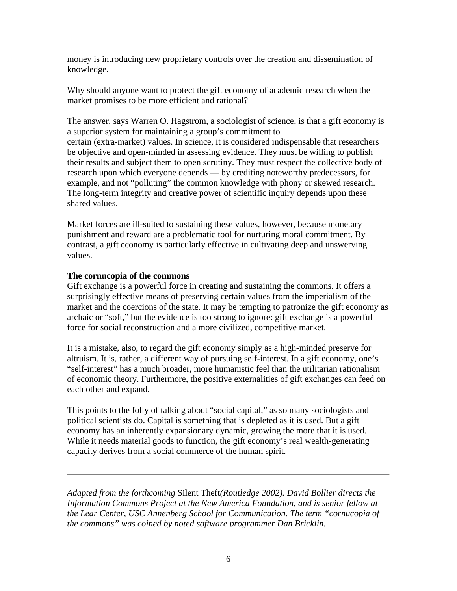money is introducing new proprietary controls over the creation and dissemination of knowledge.

Why should anyone want to protect the gift economy of academic research when the market promises to be more efficient and rational?

The answer, says Warren O. Hagstrom, a sociologist of science, is that a gift economy is a superior system for maintaining a group's commitment to certain (extra-market) values. In science, it is considered indispensable that researchers be objective and open-minded in assessing evidence. They must be willing to publish their results and subject them to open scrutiny. They must respect the collective body of research upon which everyone depends — by crediting noteworthy predecessors, for example, and not "polluting" the common knowledge with phony or skewed research. The long-term integrity and creative power of scientific inquiry depends upon these shared values.

Market forces are ill-suited to sustaining these values, however, because monetary punishment and reward are a problematic tool for nurturing moral commitment. By contrast, a gift economy is particularly effective in cultivating deep and unswerving values.

## **The cornucopia of the commons**

Gift exchange is a powerful force in creating and sustaining the commons. It offers a surprisingly effective means of preserving certain values from the imperialism of the market and the coercions of the state. It may be tempting to patronize the gift economy as archaic or "soft," but the evidence is too strong to ignore: gift exchange is a powerful force for social reconstruction and a more civilized, competitive market.

It is a mistake, also, to regard the gift economy simply as a high-minded preserve for altruism. It is, rather, a different way of pursuing self-interest. In a gift economy, one's "self-interest" has a much broader, more humanistic feel than the utilitarian rationalism of economic theory. Furthermore, the positive externalities of gift exchanges can feed on each other and expand.

This points to the folly of talking about "social capital," as so many sociologists and political scientists do. Capital is something that is depleted as it is used. But a gift economy has an inherently expansionary dynamic, growing the more that it is used. While it needs material goods to function, the gift economy's real wealth-generating capacity derives from a social commerce of the human spirit.

*Adapted from the forthcoming* Silent Theft*(Routledge 2002). David Bollier directs the Information Commons Project at the New America Foundation, and is senior fellow at the Lear Center, USC Annenberg School for Communication. The term "cornucopia of the commons" was coined by noted software programmer Dan Bricklin.*